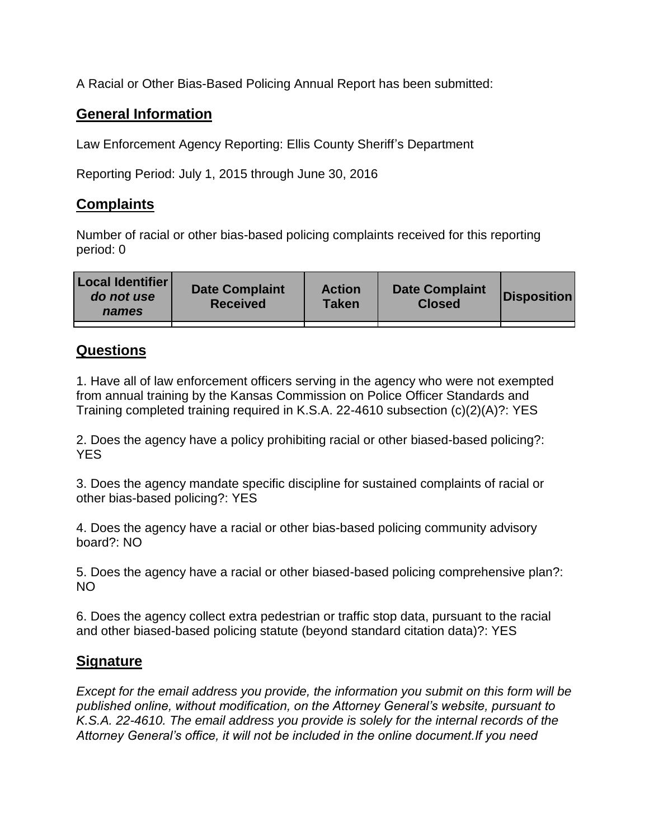A Racial or Other Bias-Based Policing Annual Report has been submitted:

## **General Information**

Law Enforcement Agency Reporting: Ellis County Sheriff's Department

Reporting Period: July 1, 2015 through June 30, 2016

## **Complaints**

Number of racial or other bias-based policing complaints received for this reporting period: 0

| <b>Local Identifier</b><br>do not use<br>names | <b>Date Complaint</b><br><b>Received</b> | <b>Action</b><br><b>Taken</b> | <b>Date Complaint</b><br><b>Closed</b> | Disposition |
|------------------------------------------------|------------------------------------------|-------------------------------|----------------------------------------|-------------|
|                                                |                                          |                               |                                        |             |

## **Questions**

1. Have all of law enforcement officers serving in the agency who were not exempted from annual training by the Kansas Commission on Police Officer Standards and Training completed training required in K.S.A. 22-4610 subsection (c)(2)(A)?: YES

2. Does the agency have a policy prohibiting racial or other biased-based policing?: YES

3. Does the agency mandate specific discipline for sustained complaints of racial or other bias-based policing?: YES

4. Does the agency have a racial or other bias-based policing community advisory board?: NO

5. Does the agency have a racial or other biased-based policing comprehensive plan?: NO

6. Does the agency collect extra pedestrian or traffic stop data, pursuant to the racial and other biased-based policing statute (beyond standard citation data)?: YES

## **Signature**

*Except for the email address you provide, the information you submit on this form will be published online, without modification, on the Attorney General's website, pursuant to K.S.A. 22-4610. The email address you provide is solely for the internal records of the Attorney General's office, it will not be included in the online document.If you need*